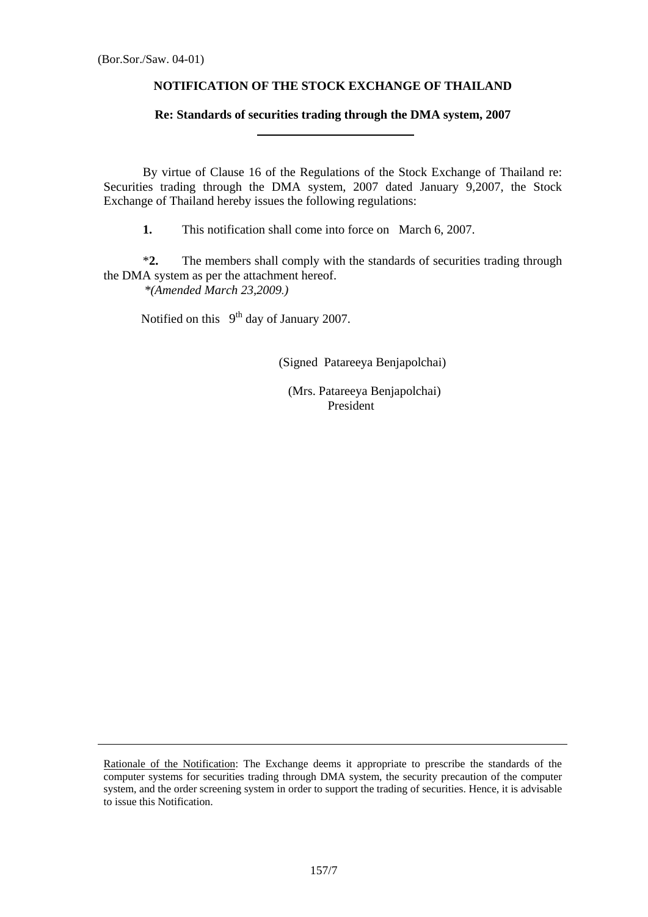### **NOTIFICATION OF THE STOCK EXCHANGE OF THAILAND**

# **Re: Standards of securities trading through the DMA system, 2007**

By virtue of Clause 16 of the Regulations of the Stock Exchange of Thailand re: Securities trading through the DMA system, 2007 dated January 9,2007, the Stock Exchange of Thailand hereby issues the following regulations:

**1.** This notification shall come into force on March 6, 2007.

 \***2.** The members shall comply with the standards of securities trading through the DMA system as per the attachment hereof. *\*(Amended March 23,2009.)* 

Notified on this  $9<sup>th</sup>$  day of January 2007.

(Signed Patareeya Benjapolchai)

 (Mrs. Patareeya Benjapolchai) President

Rationale of the Notification: The Exchange deems it appropriate to prescribe the standards of the computer systems for securities trading through DMA system, the security precaution of the computer system, and the order screening system in order to support the trading of securities. Hence, it is advisable to issue this Notification.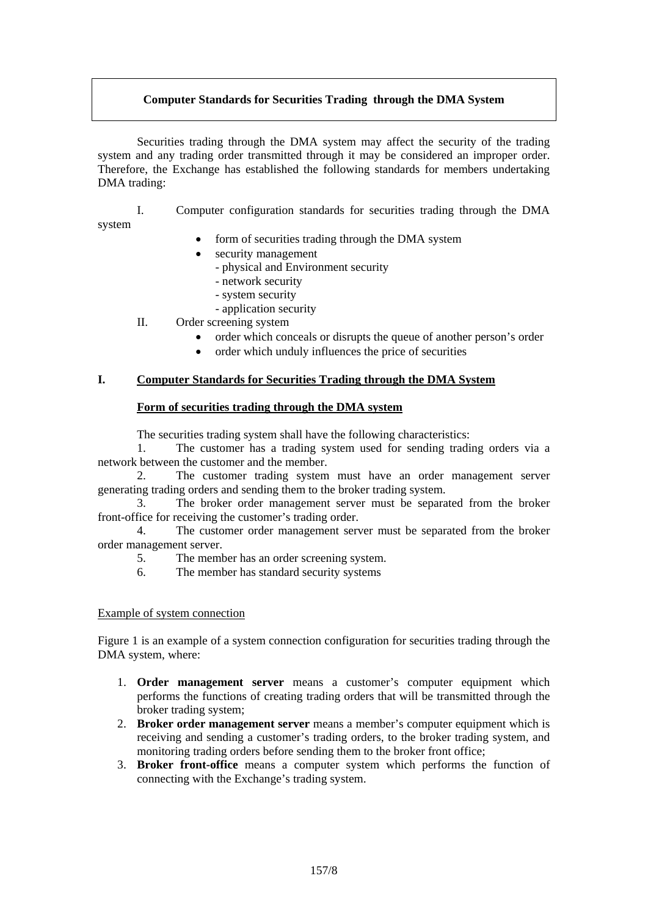## **Computer Standards for Securities Trading through the DMA System**

 Securities trading through the DMA system may affect the security of the trading system and any trading order transmitted through it may be considered an improper order. Therefore, the Exchange has established the following standards for members undertaking DMA trading:

system

I. Computer configuration standards for securities trading through the DMA

form of securities trading through the DMA system

- security management
	- physical and Environment security
	- network security
	- system security
	- application security
- II. Order screening system
	- order which conceals or disrupts the queue of another person's order
	- order which unduly influences the price of securities

### **I. Computer Standards for Securities Trading through the DMA System**

#### **Form of securities trading through the DMA system**

The securities trading system shall have the following characteristics:

 1. The customer has a trading system used for sending trading orders via a network between the customer and the member.

 2. The customer trading system must have an order management server generating trading orders and sending them to the broker trading system.

 3. The broker order management server must be separated from the broker front-office for receiving the customer's trading order.

 4. The customer order management server must be separated from the broker order management server.

- 5. The member has an order screening system.
- 6. The member has standard security systems

### Example of system connection

Figure 1 is an example of a system connection configuration for securities trading through the DMA system, where:

- 1. **Order management server** means a customer's computer equipment which performs the functions of creating trading orders that will be transmitted through the broker trading system;
- 2. **Broker order management server** means a member's computer equipment which is receiving and sending a customer's trading orders, to the broker trading system, and monitoring trading orders before sending them to the broker front office;
- 3. **Broker front-office** means a computer system which performs the function of connecting with the Exchange's trading system.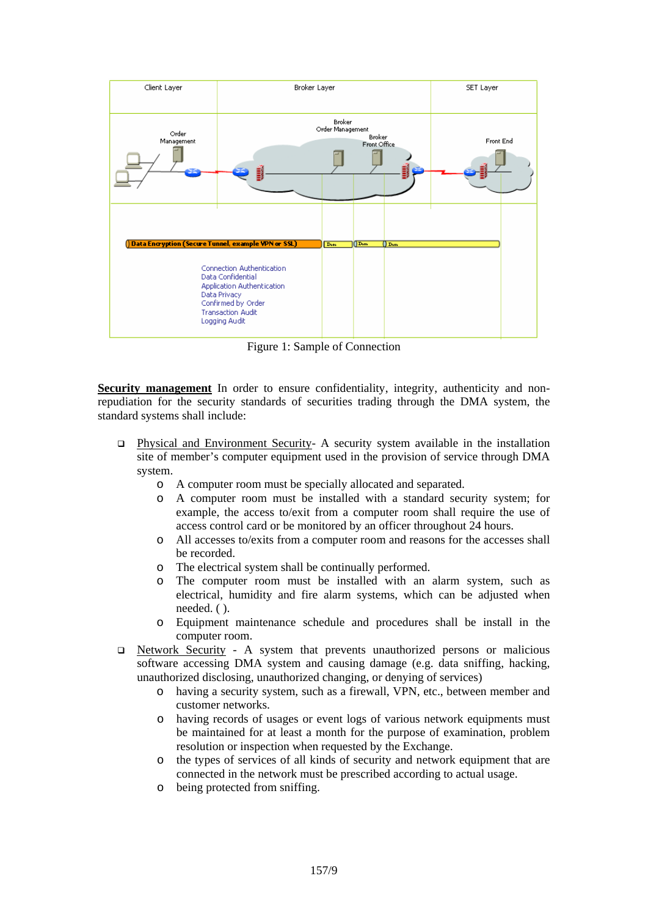

Figure 1: Sample of Connection

Security management In order to ensure confidentiality, integrity, authenticity and nonrepudiation for the security standards of securities trading through the DMA system, the standard systems shall include:

- Physical and Environment Security- A security system available in the installation site of member's computer equipment used in the provision of service through DMA system.
	- o A computer room must be specially allocated and separated.
	- o A computer room must be installed with a standard security system; for example, the access to/exit from a computer room shall require the use of access control card or be monitored by an officer throughout 24 hours.
	- o All accesses to/exits from a computer room and reasons for the accesses shall be recorded.
	- o The electrical system shall be continually performed.
	- o The computer room must be installed with an alarm system, such as electrical, humidity and fire alarm systems, which can be adjusted when needed. ( ).
	- o Equipment maintenance schedule and procedures shall be install in the computer room.
- $\Box$  Network Security A system that prevents unauthorized persons or malicious software accessing DMA system and causing damage (e.g. data sniffing, hacking, unauthorized disclosing, unauthorized changing, or denying of services)
	- o having a security system, such as a firewall, VPN, etc., between member and customer networks.
	- o having records of usages or event logs of various network equipments must be maintained for at least a month for the purpose of examination, problem resolution or inspection when requested by the Exchange.
	- o the types of services of all kinds of security and network equipment that are connected in the network must be prescribed according to actual usage.
	- o being protected from sniffing.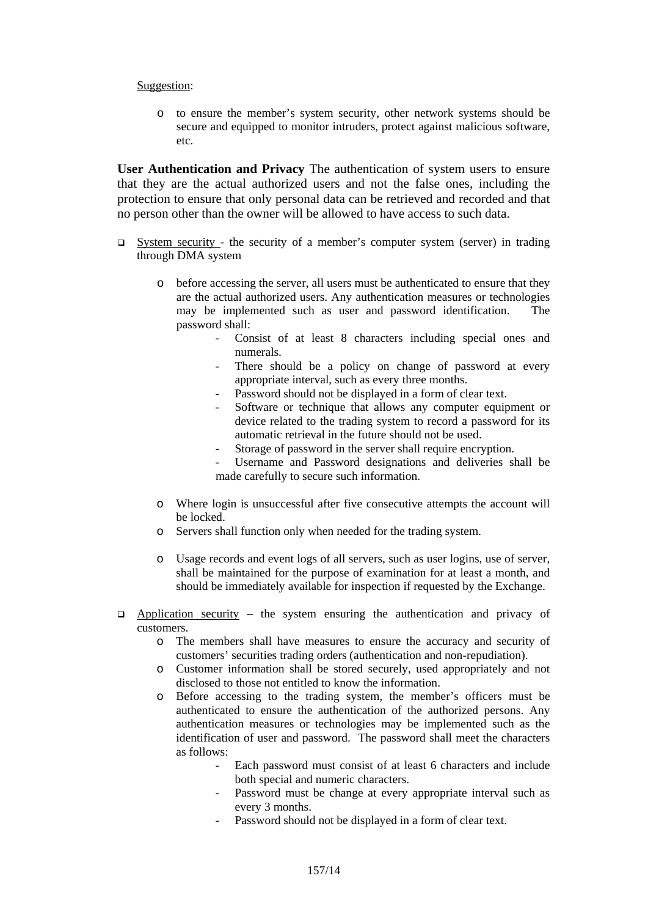#### Suggestion:

o to ensure the member's system security, other network systems should be secure and equipped to monitor intruders, protect against malicious software, etc.

**User Authentication and Privacy** The authentication of system users to ensure that they are the actual authorized users and not the false ones, including the protection to ensure that only personal data can be retrieved and recorded and that no person other than the owner will be allowed to have access to such data.

- $\Box$  System security the security of a member's computer system (server) in trading through DMA system
	- o before accessing the server, all users must be authenticated to ensure that they are the actual authorized users. Any authentication measures or technologies may be implemented such as user and password identification. The password shall:
		- Consist of at least 8 characters including special ones and numerals.
		- There should be a policy on change of password at every appropriate interval, such as every three months.
		- Password should not be displayed in a form of clear text.
		- Software or technique that allows any computer equipment or device related to the trading system to record a password for its automatic retrieval in the future should not be used.
		- Storage of password in the server shall require encryption.
		- Username and Password designations and deliveries shall be made carefully to secure such information.
	- o Where login is unsuccessful after five consecutive attempts the account will be locked.
	- o Servers shall function only when needed for the trading system.
	- o Usage records and event logs of all servers, such as user logins, use of server, shall be maintained for the purpose of examination for at least a month, and should be immediately available for inspection if requested by the Exchange.
- $\Box$  Application security the system ensuring the authentication and privacy of customers.
	- o The members shall have measures to ensure the accuracy and security of customers' securities trading orders (authentication and non-repudiation).
	- o Customer information shall be stored securely, used appropriately and not disclosed to those not entitled to know the information.
	- o Before accessing to the trading system, the member's officers must be authenticated to ensure the authentication of the authorized persons. Any authentication measures or technologies may be implemented such as the identification of user and password. The password shall meet the characters as follows:
		- Each password must consist of at least 6 characters and include both special and numeric characters.
		- Password must be change at every appropriate interval such as every 3 months.
		- Password should not be displayed in a form of clear text.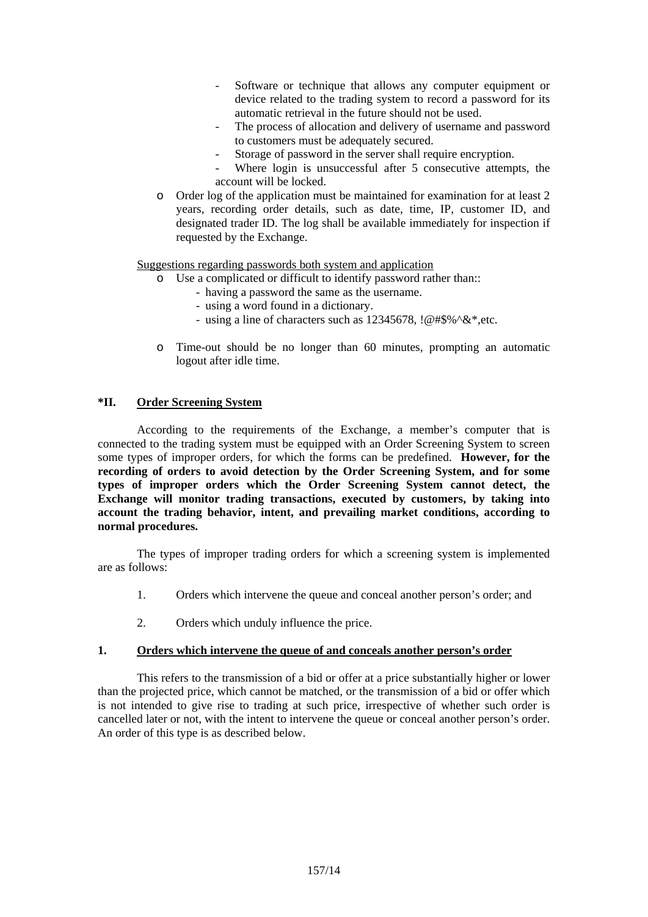- Software or technique that allows any computer equipment or device related to the trading system to record a password for its automatic retrieval in the future should not be used.
- The process of allocation and delivery of username and password to customers must be adequately secured.
- Storage of password in the server shall require encryption.
- Where login is unsuccessful after 5 consecutive attempts, the account will be locked.
- o Order log of the application must be maintained for examination for at least 2 years, recording order details, such as date, time, IP, customer ID, and designated trader ID. The log shall be available immediately for inspection if requested by the Exchange.

Suggestions regarding passwords both system and application

- o Use a complicated or difficult to identify password rather than::
	- having a password the same as the username.
	- using a word found in a dictionary.
	- using a line of characters such as  $12345678$ ,  $@$ #\$%^&\*,etc.
- o Time-out should be no longer than 60 minutes, prompting an automatic logout after idle time.

## **\*II. Order Screening System**

 According to the requirements of the Exchange, a member's computer that is connected to the trading system must be equipped with an Order Screening System to screen some types of improper orders, for which the forms can be predefined. **However, for the recording of orders to avoid detection by the Order Screening System, and for some types of improper orders which the Order Screening System cannot detect, the Exchange will monitor trading transactions, executed by customers, by taking into account the trading behavior, intent, and prevailing market conditions, according to normal procedures.**

 The types of improper trading orders for which a screening system is implemented are as follows:

- 1. Orders which intervene the queue and conceal another person's order; and
- 2. Orders which unduly influence the price.

#### **1. Orders which intervene the queue of and conceals another person's order**

This refers to the transmission of a bid or offer at a price substantially higher or lower than the projected price, which cannot be matched, or the transmission of a bid or offer which is not intended to give rise to trading at such price, irrespective of whether such order is cancelled later or not, with the intent to intervene the queue or conceal another person's order. An order of this type is as described below.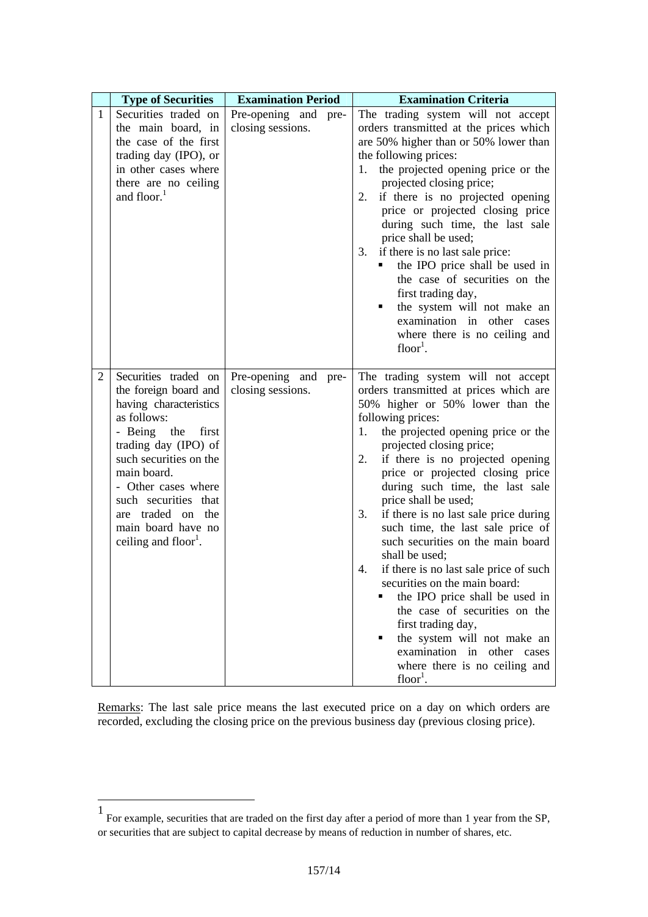|                | <b>Type of Securities</b>                                                                                                                                                                                                                                                                                     | <b>Examination Period</b>                    | <b>Examination Criteria</b>                                                                                                                                                                                                                                                                                                                                                                                                                                                                                                                                                                                                                                                                                                                                                             |
|----------------|---------------------------------------------------------------------------------------------------------------------------------------------------------------------------------------------------------------------------------------------------------------------------------------------------------------|----------------------------------------------|-----------------------------------------------------------------------------------------------------------------------------------------------------------------------------------------------------------------------------------------------------------------------------------------------------------------------------------------------------------------------------------------------------------------------------------------------------------------------------------------------------------------------------------------------------------------------------------------------------------------------------------------------------------------------------------------------------------------------------------------------------------------------------------------|
| $\mathbf{1}$   | Securities traded on<br>the main board, in<br>the case of the first<br>trading day (IPO), or<br>in other cases where<br>there are no ceiling<br>and floor. <sup>1</sup>                                                                                                                                       | Pre-opening and pre-<br>closing sessions.    | The trading system will not accept<br>orders transmitted at the prices which<br>are 50% higher than or 50% lower than<br>the following prices:<br>the projected opening price or the<br>1.<br>projected closing price;<br>2.<br>if there is no projected opening<br>price or projected closing price<br>during such time, the last sale<br>price shall be used;<br>if there is no last sale price:<br>3.<br>the IPO price shall be used in<br>the case of securities on the<br>first trading day,<br>the system will not make an<br>examination in other cases<br>where there is no ceiling and<br>$floor1$ .                                                                                                                                                                           |
| $\overline{2}$ | Securities traded on<br>the foreign board and<br>having characteristics<br>as follows:<br>- Being the<br>first<br>trading day (IPO) of<br>such securities on the<br>main board.<br>- Other cases where<br>such securities that<br>are traded on the<br>main board have no<br>ceiling and floor <sup>1</sup> . | Pre-opening and<br>pre-<br>closing sessions. | The trading system will not accept<br>orders transmitted at prices which are<br>50% higher or 50% lower than the<br>following prices:<br>the projected opening price or the<br>1.<br>projected closing price;<br>if there is no projected opening<br>2.<br>price or projected closing price<br>during such time, the last sale<br>price shall be used;<br>if there is no last sale price during<br>3.<br>such time, the last sale price of<br>such securities on the main board<br>shall be used;<br>if there is no last sale price of such<br>4.<br>securities on the main board:<br>the IPO price shall be used in<br>the case of securities on the<br>first trading day,<br>the system will not make an<br>examination in other cases<br>where there is no ceiling and<br>$floor1$ . |

Remarks: The last sale price means the last executed price on a day on which orders are recorded, excluding the closing price on the previous business day (previous closing price).

 $\overline{a}$ 

<sup>1</sup> For example, securities that are traded on the first day after a period of more than 1 year from the SP, or securities that are subject to capital decrease by means of reduction in number of shares, etc.